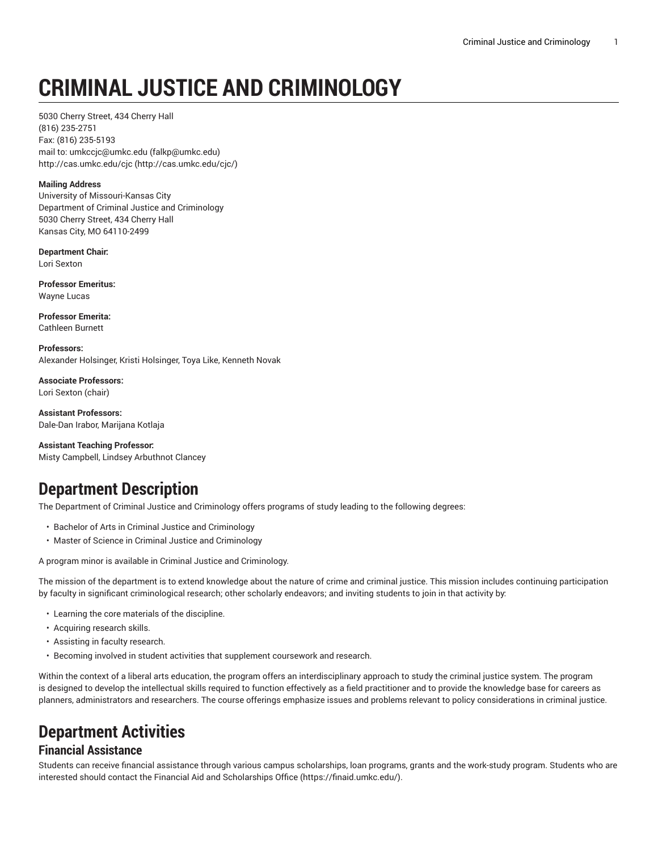# **CRIMINAL JUSTICE AND CRIMINOLOGY**

5030 Cherry Street, 434 Cherry Hall (816) 235-2751 Fax: (816) 235-5193 mail to: [umkccjc@umkc.edu](mailto:falkp@umkc.edu) [\(falkp@umkc.edu](falkp@umkc.edu)) [http://cas.umkc.edu/cjc](http://cas.umkc.edu/cjc/) ([http://cas.umkc.edu/cjc/\)](http://cas.umkc.edu/cjc/)

#### **Mailing Address**

University of Missouri-Kansas City Department of Criminal Justice and Criminology 5030 Cherry Street, 434 Cherry Hall Kansas City, MO 64110-2499

**Department Chair:** Lori Sexton

**Professor Emeritus:** Wayne Lucas

**Professor Emerita:** Cathleen Burnett

**Professors:** Alexander Holsinger, Kristi Holsinger, Toya Like, Kenneth Novak

**Associate Professors:** Lori Sexton (chair)

**Assistant Professors:** Dale-Dan Irabor, Marijana Kotlaja

**Assistant Teaching Professor:** Misty Campbell, Lindsey Arbuthnot Clancey

# **Department Description**

The Department of Criminal Justice and Criminology offers programs of study leading to the following degrees:

- Bachelor of Arts in Criminal Justice and Criminology
- Master of Science in Criminal Justice and Criminology

A program minor is available in Criminal Justice and Criminology.

The mission of the department is to extend knowledge about the nature of crime and criminal justice. This mission includes continuing participation by faculty in significant criminological research; other scholarly endeavors; and inviting students to join in that activity by:

- Learning the core materials of the discipline.
- Acquiring research skills.
- Assisting in faculty research.
- Becoming involved in student activities that supplement coursework and research.

Within the context of a liberal arts education, the program offers an interdisciplinary approach to study the criminal justice system. The program is designed to develop the intellectual skills required to function effectively as a field practitioner and to provide the knowledge base for careers as planners, administrators and researchers. The course offerings emphasize issues and problems relevant to policy considerations in criminal justice.

## **Department Activities**

#### **Financial Assistance**

Students can receive financial assistance through various campus scholarships, loan programs, grants and the work-study program. Students who are interested should contact the [Financial Aid and Scholarships Office](https://finaid.umkc.edu/) [\(https://finaid.umkc.edu/](https://finaid.umkc.edu/)).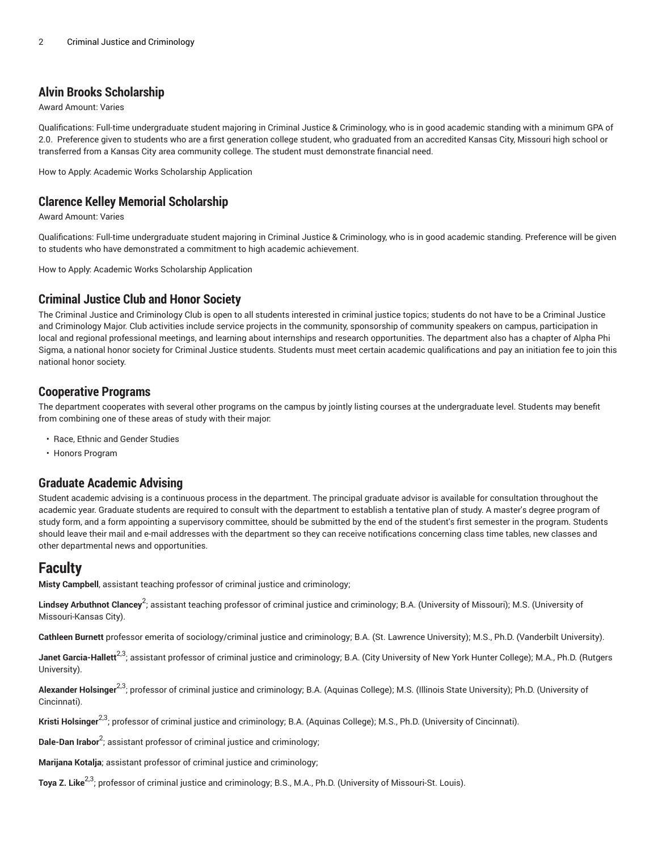#### **Alvin Brooks Scholarship**

Award Amount: Varies

Qualifications: Full-time undergraduate student majoring in Criminal Justice & Criminology, who is in good academic standing with a minimum GPA of 2.0. Preference given to students who are a first generation college student, who graduated from an accredited Kansas City, Missouri high school or transferred from a Kansas City area community college. The student must demonstrate financial need.

How to Apply: Academic Works Scholarship Application

#### **Clarence Kelley Memorial Scholarship**

Award Amount: Varies

Qualifications: Full-time undergraduate student majoring in Criminal Justice & Criminology, who is in good academic standing. Preference will be given to students who have demonstrated a commitment to high academic achievement.

How to Apply: Academic Works Scholarship Application

#### **Criminal Justice Club and Honor Society**

The Criminal Justice and Criminology Club is open to all students interested in criminal justice topics; students do not have to be a Criminal Justice and Criminology Major. Club activities include service projects in the community, sponsorship of community speakers on campus, participation in local and regional professional meetings, and learning about internships and research opportunities. The department also has a chapter of Alpha Phi Sigma, a national honor society for Criminal Justice students. Students must meet certain academic qualifications and pay an initiation fee to join this national honor society.

#### **Cooperative Programs**

The department cooperates with several other programs on the campus by jointly listing courses at the undergraduate level. Students may benefit from combining one of these areas of study with their major:

- Race, Ethnic and Gender Studies
- Honors Program

#### **Graduate Academic Advising**

Student academic advising is a continuous process in the department. The principal graduate advisor is available for consultation throughout the academic year. Graduate students are required to consult with the department to establish a tentative plan of study. A master's degree program of study form, and a form appointing a supervisory committee, should be submitted by the end of the student's first semester in the program. Students should leave their mail and e-mail addresses with the department so they can receive notifications concerning class time tables, new classes and other departmental news and opportunities.

### **Faculty**

**Misty Campbell**, assistant teaching professor of criminal justice and criminology;

**Lindsey Arbuthnot Clancey** 2 ; assistant teaching professor of criminal justice and criminology; B.A. (University of Missouri); M.S. (University of Missouri-Kansas City).

**Cathleen Burnett** professor emerita of sociology/criminal justice and criminology; B.A. (St. Lawrence University); M.S., Ph.D. (Vanderbilt University).

**Janet Garcia-Hallett<sup>2,3</sup>;** assistant professor of criminal justice and criminology; B.A. (City University of New York Hunter College); M.A., Ph.D. (Rutgers University).

Alexander Holsinger<sup>2,3</sup>; professor of criminal justice and criminology; B.A. (Aquinas College); M.S. (Illinois State University); Ph.D. (University of Cincinnati).

Kristi Holsinger<sup>2,3</sup>; professor of criminal justice and criminology; B.A. (Aquinas College); M.S., Ph.D. (University of Cincinnati).

**Dale-Dan Irabor**<sup>2</sup> ; assistant professor of criminal justice and criminology;

**Marijana Kotalja**; assistant professor of criminal justice and criminology;

**Toya Z. Like** 2,3; professor of criminal justice and criminology; B.S., M.A., Ph.D. (University of Missouri-St. Louis).